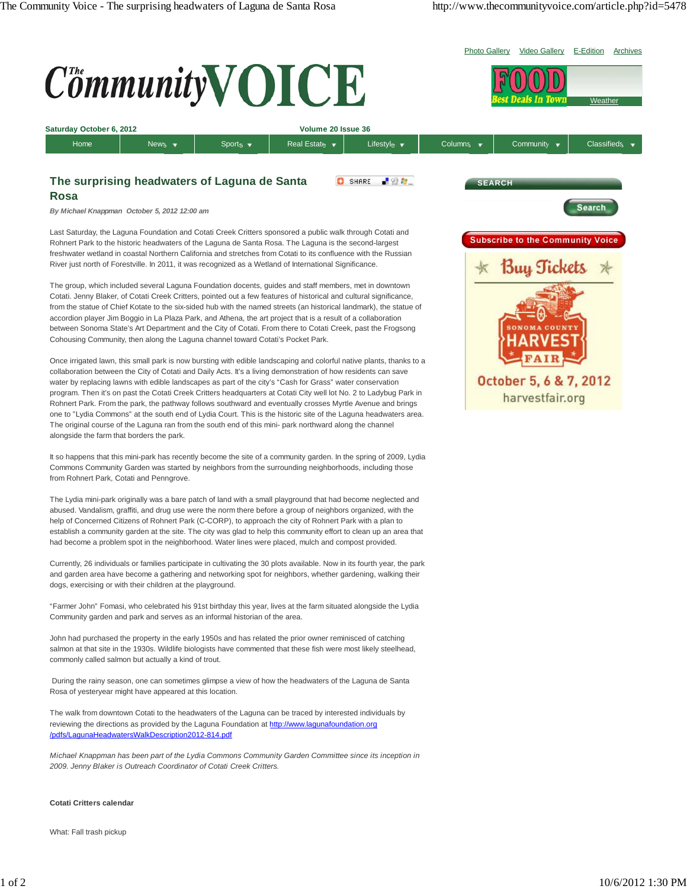

 During the rainy season, one can sometimes glimpse a view of how the headwaters of the Laguna de Santa Rosa of yesteryear might have appeared at this location.

The walk from downtown Cotati to the headwaters of the Laguna can be traced by interested individuals by reviewing the directions as provided by the Laguna Foundation at http://www.lagunafoundation.org /pdfs/LagunaHeadwatersWalkDescription2012-814.pdf

*Michael Knappman has been part of the Lydia Commons Community Garden Committee since its inception in 2009. Jenny Blaker is Outreach Coordinator of Cotati Creek Critters.*

## **Cotati Critters calendar**

What: Fall trash pickup